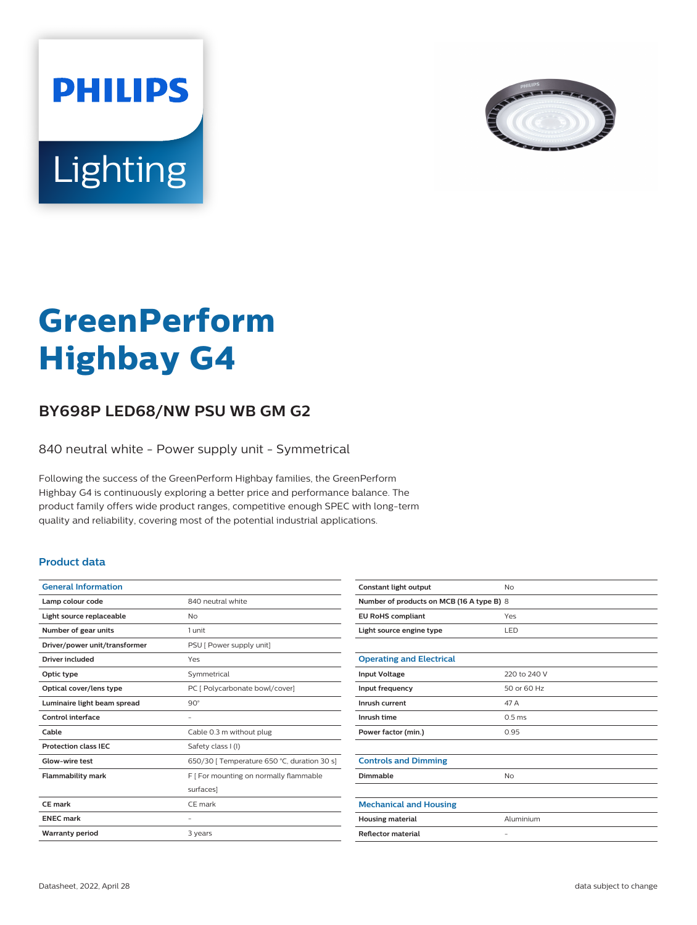



# **GreenPerform Highbay G4**

## **BY698P LED68/NW PSU WB GM G2**

840 neutral white - Power supply unit - Symmetrical

Following the success of the GreenPerform Highbay families, the GreenPerform Highbay G4 is continuously exploring a better price and performance balance. The product family offers wide product ranges, competitive enough SPEC with long-term quality and reliability, covering most of the potential industrial applications.

### **Product data**

| <b>General Information</b>    |                                             |
|-------------------------------|---------------------------------------------|
| Lamp colour code              | 840 neutral white                           |
| Light source replaceable      | No                                          |
| Number of gear units          | 1 unit                                      |
| Driver/power unit/transformer | PSU [ Power supply unit]                    |
| <b>Driver included</b>        | Yes                                         |
| Optic type                    | Symmetrical                                 |
| Optical cover/lens type       | PC [ Polycarbonate bowl/cover]              |
| Luminaire light beam spread   | $90^\circ$                                  |
| Control interface             |                                             |
| Cable                         | Cable 0.3 m without plug                    |
| <b>Protection class IEC</b>   | Safety class I (I)                          |
| Glow-wire test                | 650/30   Temperature 650 °C, duration 30 s] |
| <b>Flammability mark</b>      | F [ For mounting on normally flammable      |
|                               | surfaces]                                   |
| CF mark                       | CF mark                                     |
| <b>ENEC mark</b>              |                                             |
| <b>Warranty period</b>        | 3 years                                     |
|                               |                                             |

| Constant light output                     | No                |  |
|-------------------------------------------|-------------------|--|
| Number of products on MCB (16 A type B) 8 |                   |  |
| <b>EU RoHS compliant</b>                  | Yes               |  |
| Light source engine type                  | LED               |  |
|                                           |                   |  |
| <b>Operating and Electrical</b>           |                   |  |
| <b>Input Voltage</b>                      | 220 to 240 V      |  |
| Input frequency                           | 50 or 60 Hz       |  |
| Inrush current                            | 47 A              |  |
| Inrush time                               | 0.5 <sub>ms</sub> |  |
| Power factor (min.)                       | 0.95              |  |
|                                           |                   |  |
| <b>Controls and Dimming</b>               |                   |  |
| Dimmable                                  | <b>No</b>         |  |
|                                           |                   |  |
| <b>Mechanical and Housing</b>             |                   |  |
| <b>Housing material</b>                   | Aluminium         |  |
| <b>Reflector material</b>                 | $\qquad \qquad -$ |  |
|                                           |                   |  |